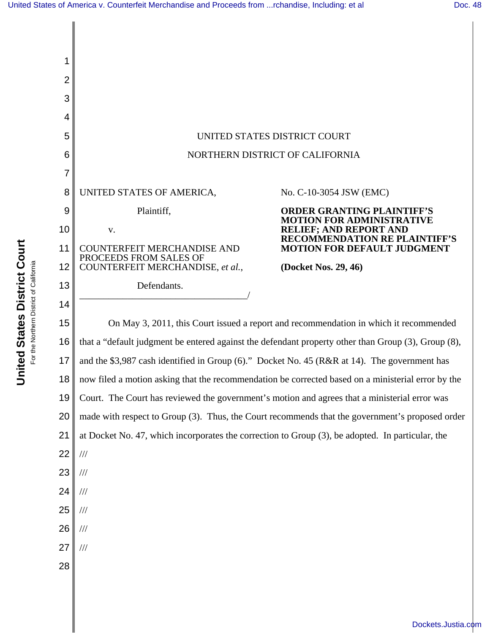